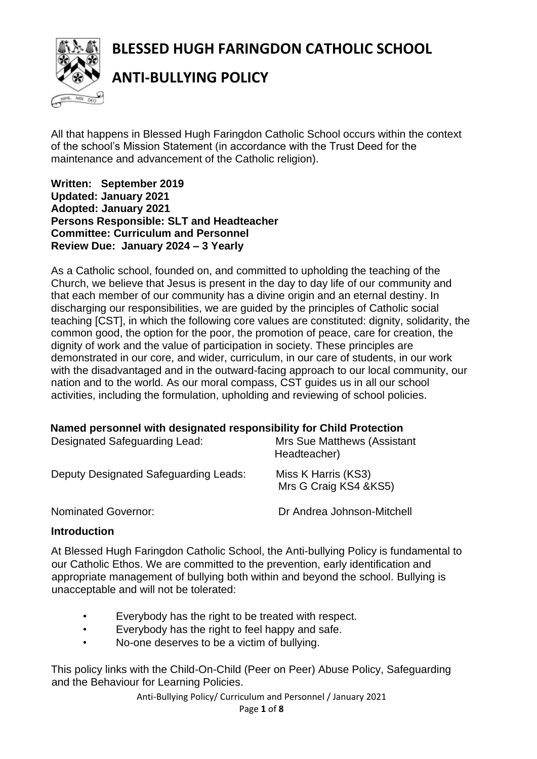**BLESSED HUGH FARINGDON CATHOLIC SCHOOL**



**ANTI-BULLYING POLICY**

All that happens in Blessed Hugh Faringdon Catholic School occurs within the context of the school's Mission Statement (in accordance with the Trust Deed for the maintenance and advancement of the Catholic religion).

**Written: September 2019 Updated: January 2021 Adopted: January 2021 Persons Responsible: SLT and Headteacher Committee: Curriculum and Personnel Review Due: January 2024 – 3 Yearly**

As a Catholic school, founded on, and committed to upholding the teaching of the Church, we believe that Jesus is present in the day to day life of our community and that each member of our community has a divine origin and an eternal destiny. In discharging our responsibilities, we are guided by the principles of Catholic social teaching [CST], in which the following core values are constituted: dignity, solidarity, the common good, the option for the poor, the promotion of peace, care for creation, the dignity of work and the value of participation in society. These principles are demonstrated in our core, and wider, curriculum, in our care of students, in our work with the disadvantaged and in the outward-facing approach to our local community, our nation and to the world. As our moral compass, CST guides us in all our school activities, including the formulation, upholding and reviewing of school policies.

#### **Named personnel with designated responsibility for Child Protection**

| Designated Safeguarding Lead:         | <b>Mrs Sue Matthews (Assistant</b><br>Headteacher) |
|---------------------------------------|----------------------------------------------------|
| Deputy Designated Safeguarding Leads: | Miss K Harris (KS3)<br>Mrs G Craig KS4 & KS5)      |
| <b>Nominated Governor:</b>            | Dr Andrea Johnson-Mitchell                         |

### **Introduction**

At Blessed Hugh Faringdon Catholic School, the Anti-bullying Policy is fundamental to our Catholic Ethos. We are committed to the prevention, early identification and appropriate management of bullying both within and beyond the school. Bullying is unacceptable and will not be tolerated:

- Everybody has the right to be treated with respect.
- Everybody has the right to feel happy and safe.
- No-one deserves to be a victim of bullying.

This policy links with the Child-On-Child (Peer on Peer) Abuse Policy, Safeguarding and the Behaviour for Learning Policies.

Anti-Bullying Policy/ Curriculum and Personnel / January 2021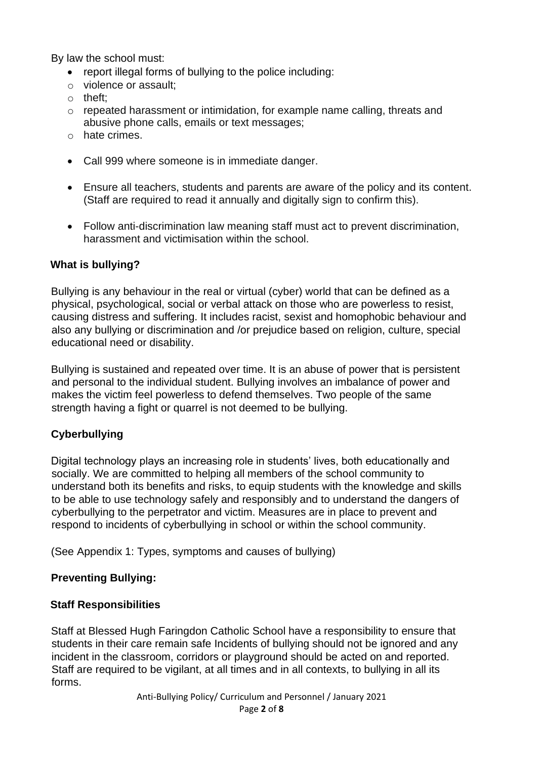By law the school must:

- report illegal forms of bullying to the police including:
- o violence or assault;
- o theft;
- $\circ$  repeated harassment or intimidation, for example name calling, threats and abusive phone calls, emails or text messages;
- o hate crimes.
- Call 999 where someone is in immediate danger.
- Ensure all teachers, students and parents are aware of the policy and its content. (Staff are required to read it annually and digitally sign to confirm this).
- Follow anti-discrimination law meaning staff must act to prevent discrimination, harassment and victimisation within the school.

### **What is bullying?**

Bullying is any behaviour in the real or virtual (cyber) world that can be defined as a physical, psychological, social or verbal attack on those who are powerless to resist, causing distress and suffering. It includes racist, sexist and homophobic behaviour and also any bullying or discrimination and /or prejudice based on religion, culture, special educational need or disability.

Bullying is sustained and repeated over time. It is an abuse of power that is persistent and personal to the individual student. Bullying involves an imbalance of power and makes the victim feel powerless to defend themselves. Two people of the same strength having a fight or quarrel is not deemed to be bullying.

### **Cyberbullying**

Digital technology plays an increasing role in students' lives, both educationally and socially. We are committed to helping all members of the school community to understand both its benefits and risks, to equip students with the knowledge and skills to be able to use technology safely and responsibly and to understand the dangers of cyberbullying to the perpetrator and victim. Measures are in place to prevent and respond to incidents of cyberbullying in school or within the school community.

(See Appendix 1: Types, symptoms and causes of bullying)

#### **Preventing Bullying:**

#### **Staff Responsibilities**

Staff at Blessed Hugh Faringdon Catholic School have a responsibility to ensure that students in their care remain safe Incidents of bullying should not be ignored and any incident in the classroom, corridors or playground should be acted on and reported. Staff are required to be vigilant, at all times and in all contexts, to bullying in all its forms.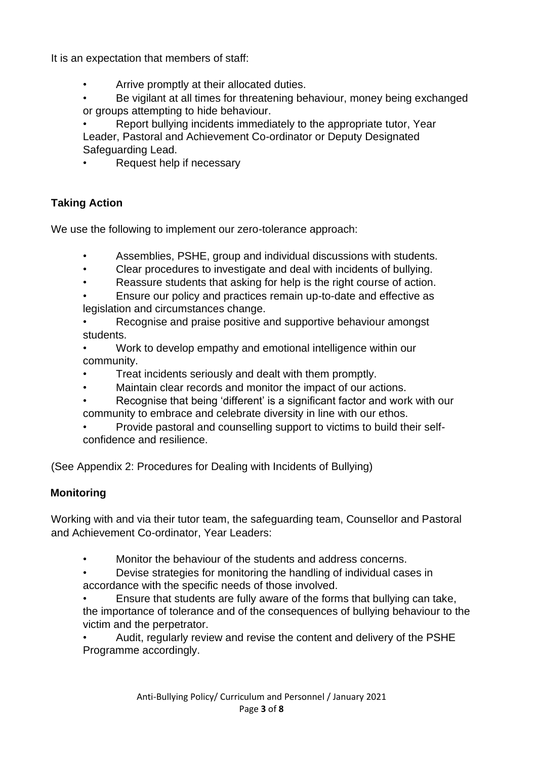It is an expectation that members of staff:

- Arrive promptly at their allocated duties.
- Be vigilant at all times for threatening behaviour, money being exchanged or groups attempting to hide behaviour.

• Report bullying incidents immediately to the appropriate tutor, Year Leader, Pastoral and Achievement Co-ordinator or Deputy Designated Safeguarding Lead.

• Request help if necessary

# **Taking Action**

We use the following to implement our zero-tolerance approach:

- Assemblies, PSHE, group and individual discussions with students.
- Clear procedures to investigate and deal with incidents of bullying.
- Reassure students that asking for help is the right course of action.
- Ensure our policy and practices remain up-to-date and effective as legislation and circumstances change.
- Recognise and praise positive and supportive behaviour amongst students.
- Work to develop empathy and emotional intelligence within our community.
- Treat incidents seriously and dealt with them promptly.
- Maintain clear records and monitor the impact of our actions.
- Recognise that being 'different' is a significant factor and work with our community to embrace and celebrate diversity in line with our ethos.
- Provide pastoral and counselling support to victims to build their selfconfidence and resilience.

(See Appendix 2: Procedures for Dealing with Incidents of Bullying)

# **Monitoring**

Working with and via their tutor team, the safeguarding team, Counsellor and Pastoral and Achievement Co-ordinator, Year Leaders:

• Monitor the behaviour of the students and address concerns.

• Devise strategies for monitoring the handling of individual cases in accordance with the specific needs of those involved.

• Ensure that students are fully aware of the forms that bullying can take, the importance of tolerance and of the consequences of bullying behaviour to the victim and the perpetrator.

• Audit, regularly review and revise the content and delivery of the PSHE Programme accordingly.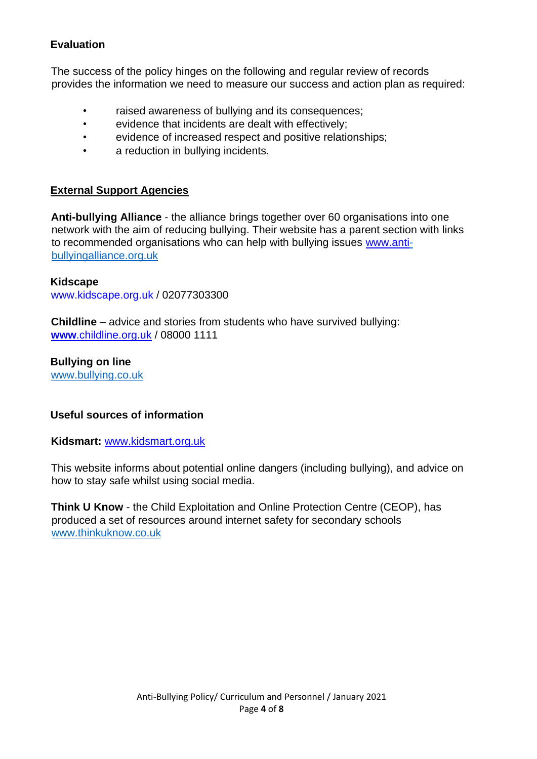## **Evaluation**

The success of the policy hinges on the following and regular review of records provides the information we need to measure our success and action plan as required:

- raised awareness of bullying and its consequences;
- evidence that incidents are dealt with effectively;
- evidence of increased respect and positive relationships;
- a reduction in bullying incidents.

## **External Support Agencies**

**Anti-bullying Alliance** - the alliance brings together over 60 organisations into one network with the aim of reducing bullying. Their website has a parent section with links to recommended organisations who can help with bullying issues [www.anti](http://www.anti/)[bullyingalliance.org.uk](http://www.anti-bullyingalliance.org.uk/)

### **Kidscape**

www.kidscape.org.uk / 02077303300

**Childline** – advice and stories from students who have survived bullying: **www**[.childline.org.uk](http://www.childline.org.uk/) / 08000 1111

**Bullying on line** [www.bullying.co.uk](http://www.bullying.co.uk/)

### **Useful sources of information**

**Kidsmart:** [www.kidsmart.org.uk](http://www.kidsmart.org.uk/)

This website informs about potential online dangers (including bullying), and advice on how to stay safe whilst using social media.

**Think U Know** - the Child Exploitation and Online Protection Centre (CEOP), has produced a set of resources around internet safety for secondary schools [www.thinkuknow.co.uk](http://www.thinkuknow.co.uk/)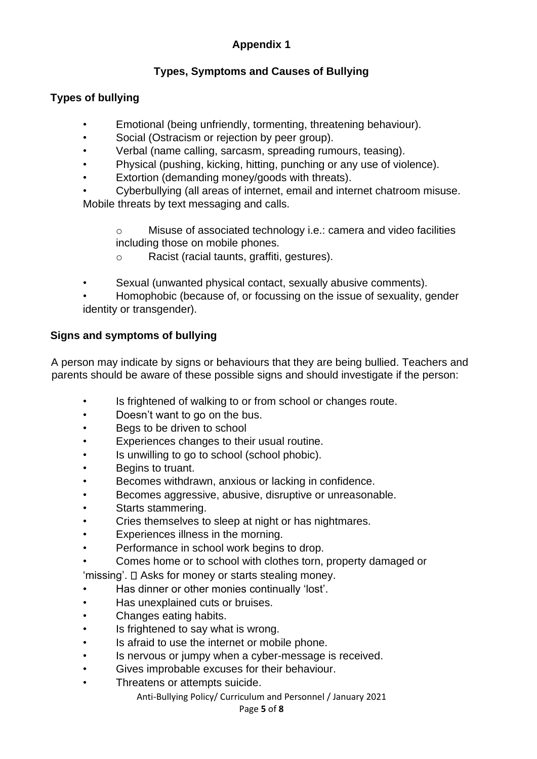# **Appendix 1**

# **Types, Symptoms and Causes of Bullying**

# **Types of bullying**

- Emotional (being unfriendly, tormenting, threatening behaviour).
- Social (Ostracism or rejection by peer group).
- Verbal (name calling, sarcasm, spreading rumours, teasing).
- Physical (pushing, kicking, hitting, punching or any use of violence).
- Extortion (demanding money/goods with threats).
- Cyberbullying (all areas of internet, email and internet chatroom misuse. Mobile threats by text messaging and calls.

o Misuse of associated technology i.e.: camera and video facilities including those on mobile phones.

o Racist (racial taunts, graffiti, gestures).

- Sexual (unwanted physical contact, sexually abusive comments).
- Homophobic (because of, or focussing on the issue of sexuality, gender identity or transgender).

# **Signs and symptoms of bullying**

A person may indicate by signs or behaviours that they are being bullied. Teachers and parents should be aware of these possible signs and should investigate if the person:

- Is frightened of walking to or from school or changes route.
- Doesn't want to go on the bus.
- Begs to be driven to school
- Experiences changes to their usual routine.
- Is unwilling to go to school (school phobic).
- Begins to truant.
- Becomes withdrawn, anxious or lacking in confidence.
- Becomes aggressive, abusive, disruptive or unreasonable.
- Starts stammering.
- Cries themselves to sleep at night or has nightmares.
- Experiences illness in the morning.
- Performance in school work begins to drop.
- Comes home or to school with clothes torn, property damaged or

'missing'.  $\square$  Asks for money or starts stealing money.

- Has dinner or other monies continually 'lost'.
- Has unexplained cuts or bruises.
- Changes eating habits.
- Is frightened to say what is wrong.
- Is afraid to use the internet or mobile phone.
- Is nervous or jumpy when a cyber-message is received.
- Gives improbable excuses for their behaviour.
- Threatens or attempts suicide.

Anti-Bullying Policy/ Curriculum and Personnel / January 2021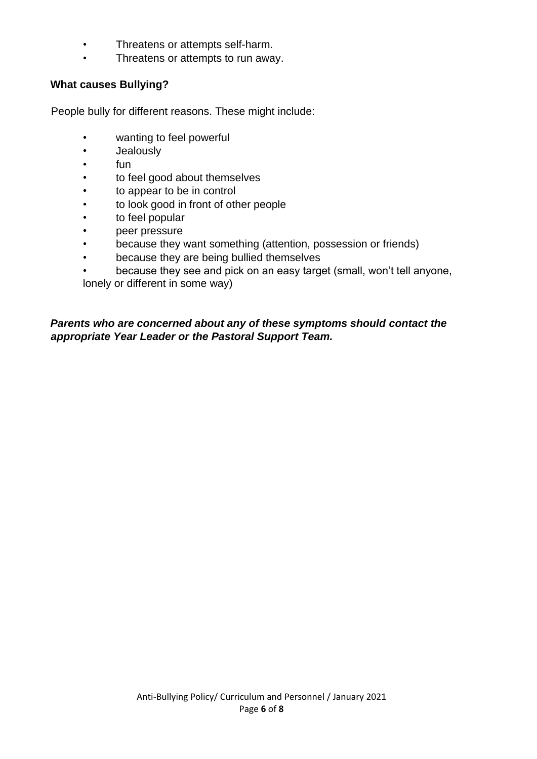- Threatens or attempts self-harm.
- Threatens or attempts to run away.

## **What causes Bullying?**

People bully for different reasons. These might include:

- wanting to feel powerful
- Jealously
- fun
- to feel good about themselves
- to appear to be in control
- to look good in front of other people
- to feel popular
- peer pressure
- because they want something (attention, possession or friends)
- because they are being bullied themselves
- because they see and pick on an easy target (small, won't tell anyone, lonely or different in some way)

*Parents who are concerned about any of these symptoms should contact the appropriate Year Leader or the Pastoral Support Team.*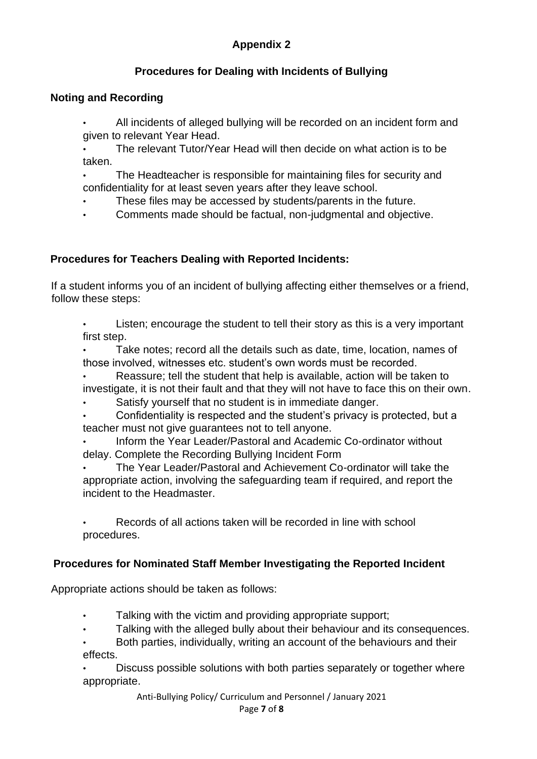# **Appendix 2**

# **Procedures for Dealing with Incidents of Bullying**

## **Noting and Recording**

• All incidents of alleged bullying will be recorded on an incident form and given to relevant Year Head.

• The relevant Tutor/Year Head will then decide on what action is to be taken.

• The Headteacher is responsible for maintaining files for security and confidentiality for at least seven years after they leave school.

These files may be accessed by students/parents in the future.

• Comments made should be factual, non-judgmental and objective.

# **Procedures for Teachers Dealing with Reported Incidents:**

If a student informs you of an incident of bullying affecting either themselves or a friend, follow these steps:

Listen; encourage the student to tell their story as this is a very important first step.

Take notes; record all the details such as date, time, location, names of those involved, witnesses etc. student's own words must be recorded.

• Reassure; tell the student that help is available, action will be taken to investigate, it is not their fault and that they will not have to face this on their own.

Satisfy yourself that no student is in immediate danger.

• Confidentiality is respected and the student's privacy is protected, but a teacher must not give guarantees not to tell anyone.

• Inform the Year Leader/Pastoral and Academic Co-ordinator without delay. Complete the Recording Bullying Incident Form

• The Year Leader/Pastoral and Achievement Co-ordinator will take the appropriate action, involving the safeguarding team if required, and report the incident to the Headmaster.

• Records of all actions taken will be recorded in line with school procedures.

# **Procedures for Nominated Staff Member Investigating the Reported Incident**

Appropriate actions should be taken as follows:

- Talking with the victim and providing appropriate support;
- Talking with the alleged bully about their behaviour and its consequences.

• Both parties, individually, writing an account of the behaviours and their effects.

• Discuss possible solutions with both parties separately or together where appropriate.